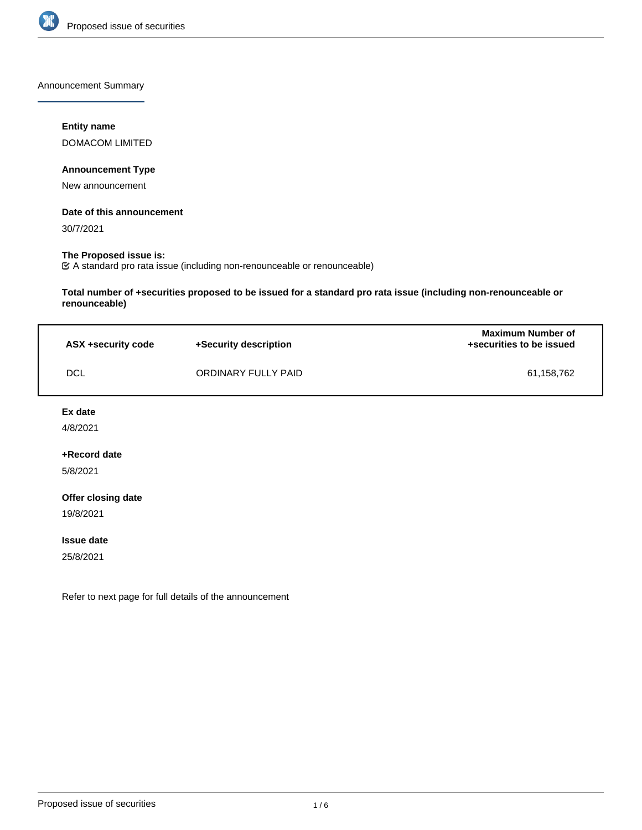

Announcement Summary

# **Entity name**

DOMACOM LIMITED

# **Announcement Type**

New announcement

## **Date of this announcement**

30/7/2021

# **The Proposed issue is:**

A standard pro rata issue (including non-renounceable or renounceable)

**Total number of +securities proposed to be issued for a standard pro rata issue (including non-renounceable or renounceable)**

| ASX +security code | +Security description | <b>Maximum Number of</b><br>+securities to be issued |
|--------------------|-----------------------|------------------------------------------------------|
| <b>DCL</b>         | ORDINARY FULLY PAID   | 61,158,762                                           |

**Ex date**

4/8/2021

## **+Record date**

5/8/2021

## **Offer closing date**

19/8/2021

#### **Issue date**

25/8/2021

Refer to next page for full details of the announcement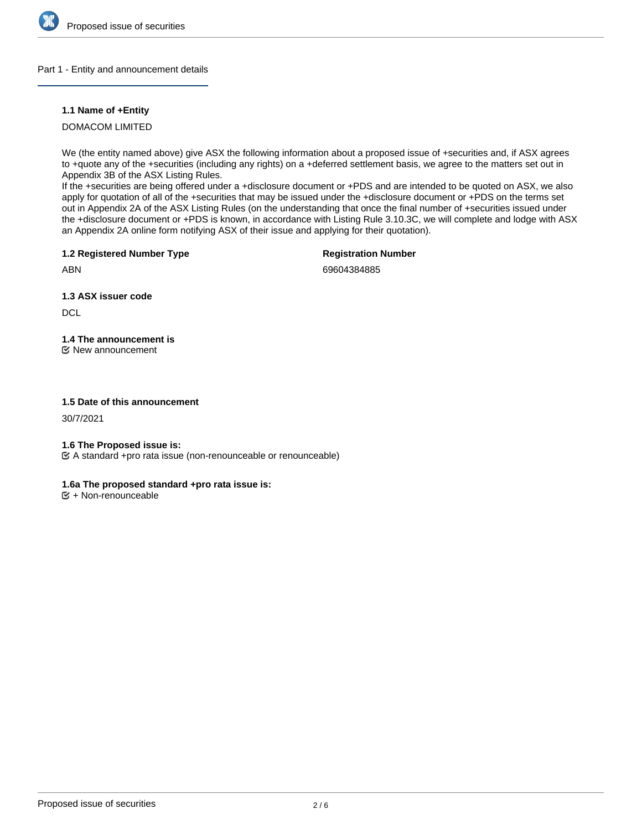

## Part 1 - Entity and announcement details

## **1.1 Name of +Entity**

DOMACOM LIMITED

We (the entity named above) give ASX the following information about a proposed issue of +securities and, if ASX agrees to +quote any of the +securities (including any rights) on a +deferred settlement basis, we agree to the matters set out in Appendix 3B of the ASX Listing Rules.

If the +securities are being offered under a +disclosure document or +PDS and are intended to be quoted on ASX, we also apply for quotation of all of the +securities that may be issued under the +disclosure document or +PDS on the terms set out in Appendix 2A of the ASX Listing Rules (on the understanding that once the final number of +securities issued under the +disclosure document or +PDS is known, in accordance with Listing Rule 3.10.3C, we will complete and lodge with ASX an Appendix 2A online form notifying ASX of their issue and applying for their quotation).

**1.2 Registered Number Type**

**Registration Number**

ABN

69604384885

**1.3 ASX issuer code**

**DCL** 

**1.4 The announcement is** New announcement

## **1.5 Date of this announcement**

30/7/2021

## **1.6 The Proposed issue is:**

A standard +pro rata issue (non-renounceable or renounceable)

# **1.6a The proposed standard +pro rata issue is:**

 $E + \text{Non-renounceable}$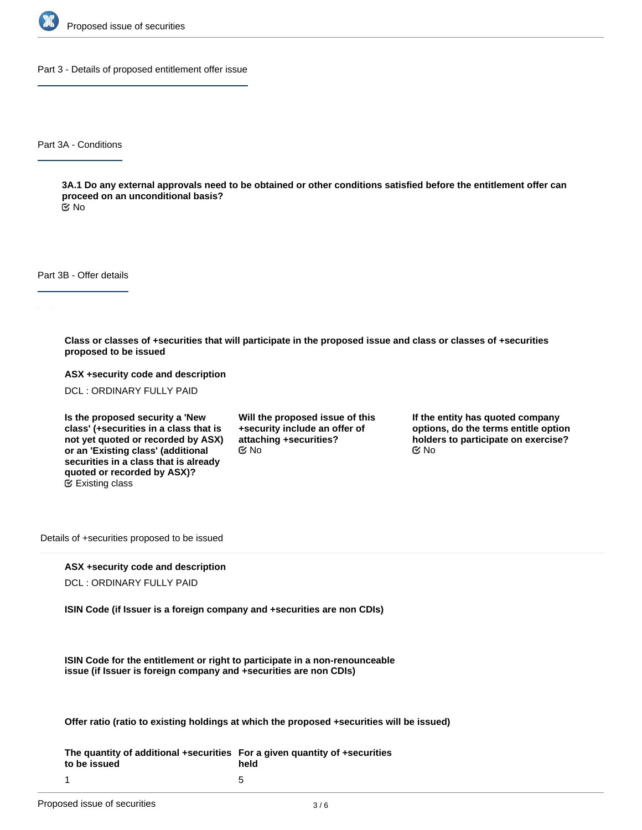

Part 3 - Details of proposed entitlement offer issue

Part 3A - Conditions

**3A.1 Do any external approvals need to be obtained or other conditions satisfied before the entitlement offer can proceed on an unconditional basis?**

No

Part 3B - Offer details

**Class or classes of +securities that will participate in the proposed issue and class or classes of +securities proposed to be issued**

**ASX +security code and description**

DCL : ORDINARY FULLY PAID

**Is the proposed security a 'New class' (+securities in a class that is not yet quoted or recorded by ASX) or an 'Existing class' (additional securities in a class that is already quoted or recorded by ASX)?** Existing class

**Will the proposed issue of this +security include an offer of attaching +securities?**  $\mathfrak{S}$  No  $\mathfrak{S}$  No  $\mathfrak{S}$  No

**If the entity has quoted company options, do the terms entitle option holders to participate on exercise?**

Details of +securities proposed to be issued

## **ASX +security code and description**

DCL : ORDINARY FULLY PAID

**ISIN Code (if Issuer is a foreign company and +securities are non CDIs)**

**ISIN Code for the entitlement or right to participate in a non-renounceable issue (if Issuer is foreign company and +securities are non CDIs)**

**Offer ratio (ratio to existing holdings at which the proposed +securities will be issued)**

**The quantity of additional +securities For a given quantity of +securities to be issued** 1 **held** 5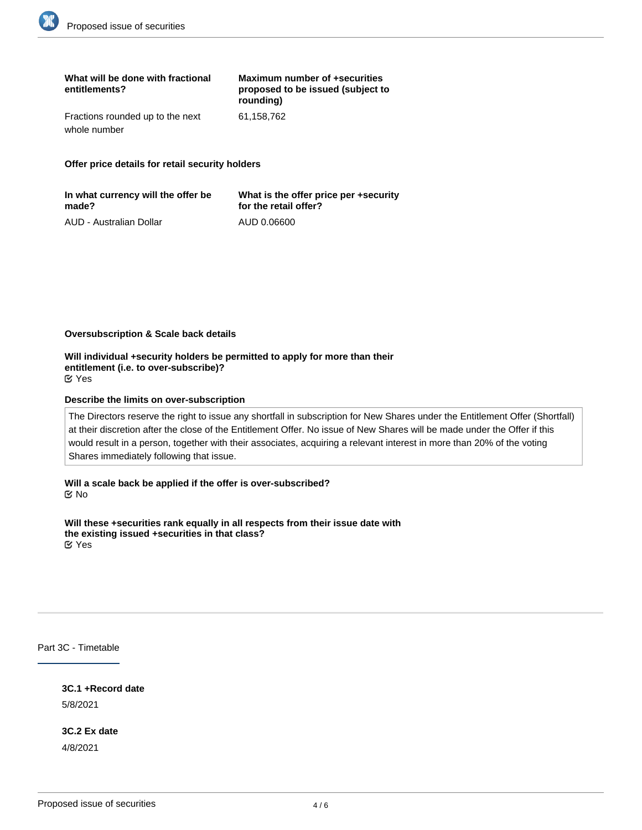| What will be done with fractional<br>entitlements? | Maximum number of +securities<br>proposed to be issued (subject to<br>rounding) |
|----------------------------------------------------|---------------------------------------------------------------------------------|
| Fractions rounded up to the next                   | 61.158.762                                                                      |
| whole number                                       |                                                                                 |

**Offer price details for retail security holders**

| In what currency will the offer be | What is the offer price per +security |
|------------------------------------|---------------------------------------|
| made?                              | for the retail offer?                 |
| AUD - Australian Dollar            | AUD 0.06600                           |

#### **Oversubscription & Scale back details**

**Will individual +security holders be permitted to apply for more than their entitlement (i.e. to over-subscribe)?** Yes

#### **Describe the limits on over-subscription**

The Directors reserve the right to issue any shortfall in subscription for New Shares under the Entitlement Offer (Shortfall) at their discretion after the close of the Entitlement Offer. No issue of New Shares will be made under the Offer if this would result in a person, together with their associates, acquiring a relevant interest in more than 20% of the voting Shares immediately following that issue.

**Will a scale back be applied if the offer is over-subscribed?** No

**Will these +securities rank equally in all respects from their issue date with the existing issued +securities in that class?** Yes

Part 3C - Timetable

**3C.1 +Record date** 5/8/2021

**3C.2 Ex date** 4/8/2021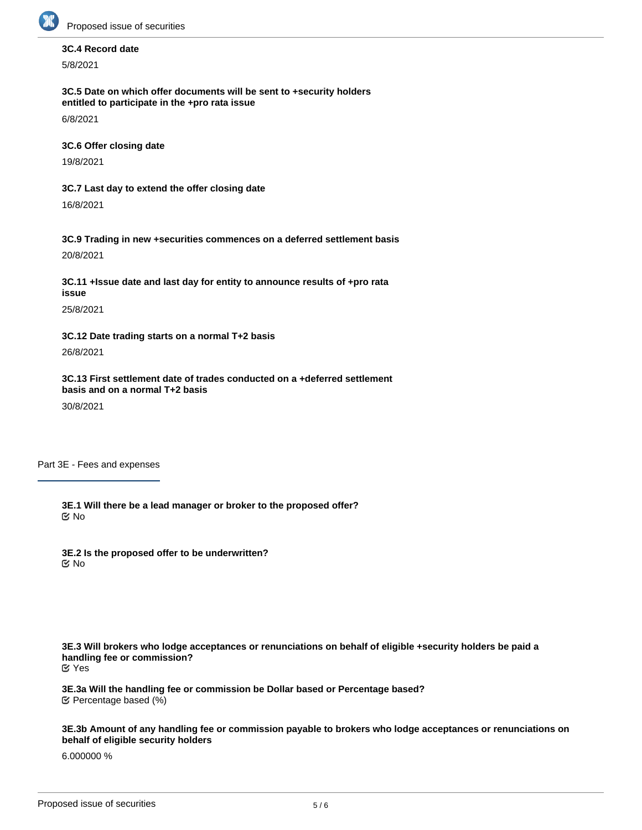

# **3C.4 Record date**

5/8/2021

**3C.5 Date on which offer documents will be sent to +security holders entitled to participate in the +pro rata issue**

6/8/2021

**3C.6 Offer closing date**

19/8/2021

**3C.7 Last day to extend the offer closing date**

16/8/2021

**3C.9 Trading in new +securities commences on a deferred settlement basis** 20/8/2021

**3C.11 +Issue date and last day for entity to announce results of +pro rata issue**

25/8/2021

**3C.12 Date trading starts on a normal T+2 basis**

26/8/2021

**3C.13 First settlement date of trades conducted on a +deferred settlement basis and on a normal T+2 basis**

30/8/2021

Part 3E - Fees and expenses

**3E.1 Will there be a lead manager or broker to the proposed offer?** No

**3E.2 Is the proposed offer to be underwritten?** No

**3E.3 Will brokers who lodge acceptances or renunciations on behalf of eligible +security holders be paid a handling fee or commission?** Yes

**3E.3a Will the handling fee or commission be Dollar based or Percentage based?** Percentage based (%)

**3E.3b Amount of any handling fee or commission payable to brokers who lodge acceptances or renunciations on behalf of eligible security holders**

6.000000 %

**3E.3c Please provide any other relevant information about the handling fee or commission method**